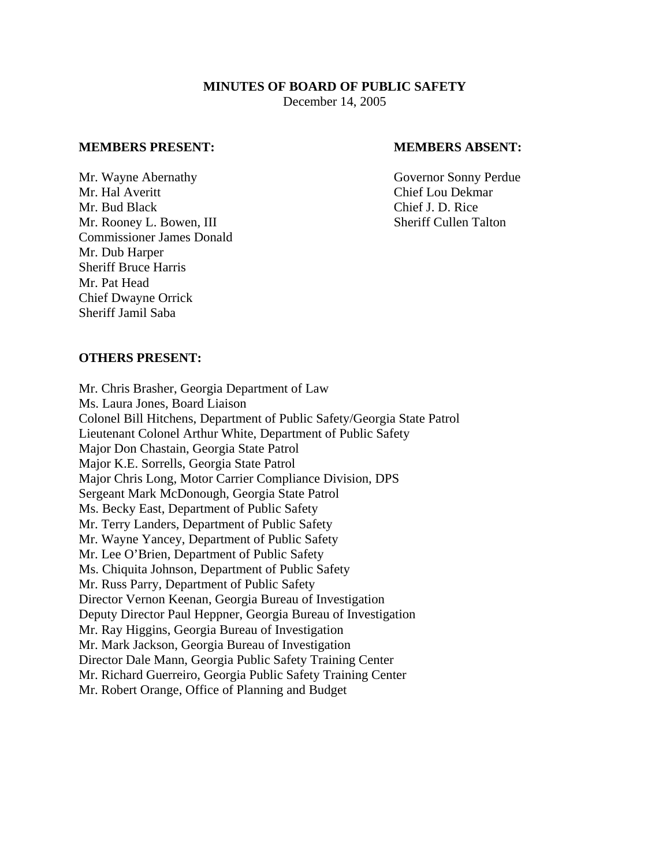# **MINUTES OF BOARD OF PUBLIC SAFETY**  December 14, 2005

#### **MEMBERS PRESENT: MEMBERS ABSENT:**

Mr. Wayne Abernathy Governor Sonny Perdue Mr. Hal Averitt Chief Lou Dekmar Mr. Bud Black Chief J. D. Rice Mr. Rooney L. Bowen, III Sheriff Cullen Talton Commissioner James Donald Mr. Dub Harper Sheriff Bruce Harris Mr. Pat Head Chief Dwayne Orrick Sheriff Jamil Saba

### **OTHERS PRESENT:**

Mr. Chris Brasher, Georgia Department of Law Ms. Laura Jones, Board Liaison Colonel Bill Hitchens, Department of Public Safety/Georgia State Patrol Lieutenant Colonel Arthur White, Department of Public Safety Major Don Chastain, Georgia State Patrol Major K.E. Sorrells, Georgia State Patrol Major Chris Long, Motor Carrier Compliance Division, DPS Sergeant Mark McDonough, Georgia State Patrol Ms. Becky East, Department of Public Safety Mr. Terry Landers, Department of Public Safety Mr. Wayne Yancey, Department of Public Safety Mr. Lee O'Brien, Department of Public Safety Ms. Chiquita Johnson, Department of Public Safety Mr. Russ Parry, Department of Public Safety Director Vernon Keenan, Georgia Bureau of Investigation Deputy Director Paul Heppner, Georgia Bureau of Investigation Mr. Ray Higgins, Georgia Bureau of Investigation Mr. Mark Jackson, Georgia Bureau of Investigation Director Dale Mann, Georgia Public Safety Training Center Mr. Richard Guerreiro, Georgia Public Safety Training Center Mr. Robert Orange, Office of Planning and Budget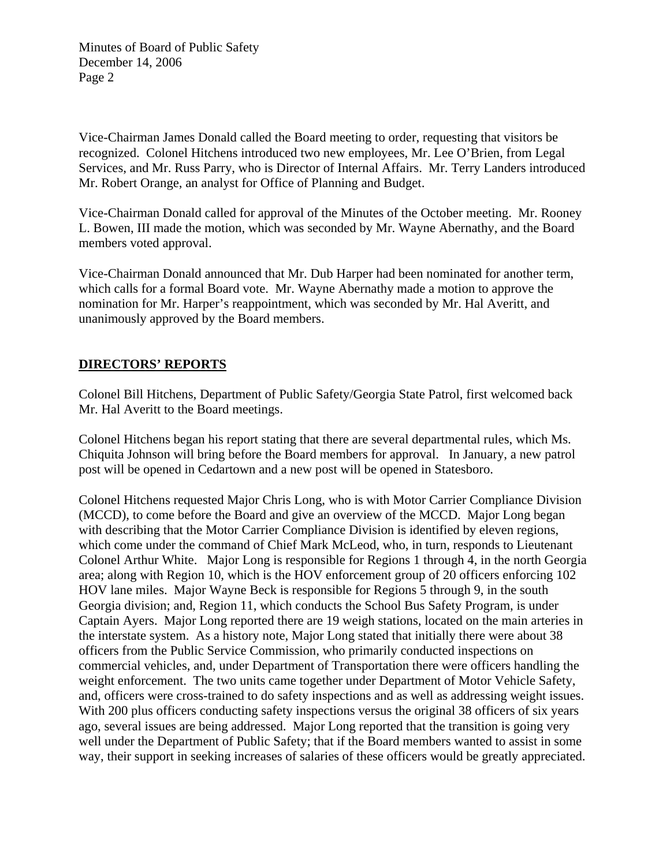Vice-Chairman James Donald called the Board meeting to order, requesting that visitors be recognized. Colonel Hitchens introduced two new employees, Mr. Lee O'Brien, from Legal Services, and Mr. Russ Parry, who is Director of Internal Affairs. Mr. Terry Landers introduced Mr. Robert Orange, an analyst for Office of Planning and Budget.

Vice-Chairman Donald called for approval of the Minutes of the October meeting. Mr. Rooney L. Bowen, III made the motion, which was seconded by Mr. Wayne Abernathy, and the Board members voted approval.

Vice-Chairman Donald announced that Mr. Dub Harper had been nominated for another term, which calls for a formal Board vote. Mr. Wayne Abernathy made a motion to approve the nomination for Mr. Harper's reappointment, which was seconded by Mr. Hal Averitt, and unanimously approved by the Board members.

# **DIRECTORS' REPORTS**

Colonel Bill Hitchens, Department of Public Safety/Georgia State Patrol, first welcomed back Mr. Hal Averitt to the Board meetings.

Colonel Hitchens began his report stating that there are several departmental rules, which Ms. Chiquita Johnson will bring before the Board members for approval. In January, a new patrol post will be opened in Cedartown and a new post will be opened in Statesboro.

Colonel Hitchens requested Major Chris Long, who is with Motor Carrier Compliance Division (MCCD), to come before the Board and give an overview of the MCCD. Major Long began with describing that the Motor Carrier Compliance Division is identified by eleven regions, which come under the command of Chief Mark McLeod, who, in turn, responds to Lieutenant Colonel Arthur White. Major Long is responsible for Regions 1 through 4, in the north Georgia area; along with Region 10, which is the HOV enforcement group of 20 officers enforcing 102 HOV lane miles. Major Wayne Beck is responsible for Regions 5 through 9, in the south Georgia division; and, Region 11, which conducts the School Bus Safety Program, is under Captain Ayers. Major Long reported there are 19 weigh stations, located on the main arteries in the interstate system. As a history note, Major Long stated that initially there were about 38 officers from the Public Service Commission, who primarily conducted inspections on commercial vehicles, and, under Department of Transportation there were officers handling the weight enforcement. The two units came together under Department of Motor Vehicle Safety, and, officers were cross-trained to do safety inspections and as well as addressing weight issues. With 200 plus officers conducting safety inspections versus the original 38 officers of six years ago, several issues are being addressed. Major Long reported that the transition is going very well under the Department of Public Safety; that if the Board members wanted to assist in some way, their support in seeking increases of salaries of these officers would be greatly appreciated.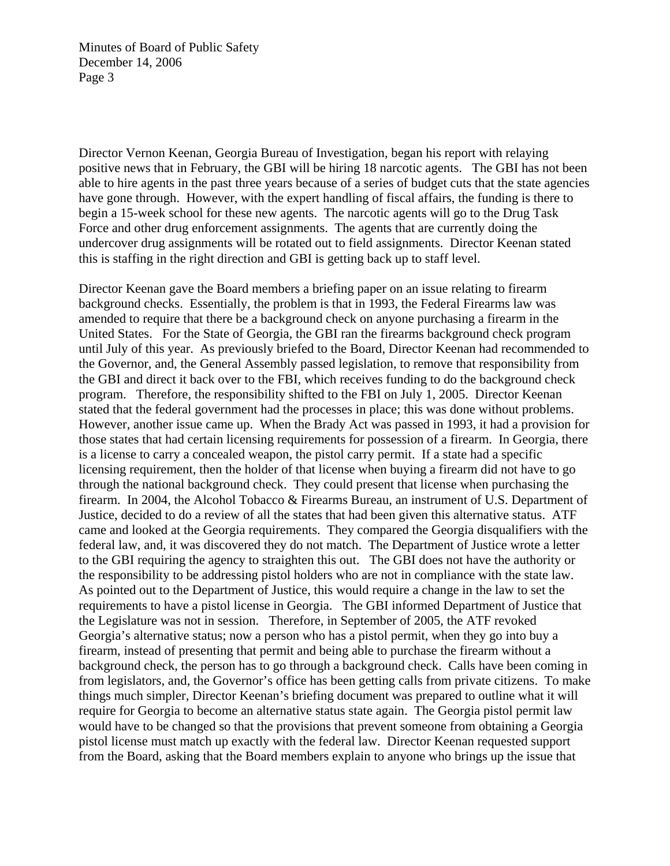Director Vernon Keenan, Georgia Bureau of Investigation, began his report with relaying positive news that in February, the GBI will be hiring 18 narcotic agents. The GBI has not been able to hire agents in the past three years because of a series of budget cuts that the state agencies have gone through. However, with the expert handling of fiscal affairs, the funding is there to begin a 15-week school for these new agents. The narcotic agents will go to the Drug Task Force and other drug enforcement assignments. The agents that are currently doing the undercover drug assignments will be rotated out to field assignments. Director Keenan stated this is staffing in the right direction and GBI is getting back up to staff level.

Director Keenan gave the Board members a briefing paper on an issue relating to firearm background checks. Essentially, the problem is that in 1993, the Federal Firearms law was amended to require that there be a background check on anyone purchasing a firearm in the United States. For the State of Georgia, the GBI ran the firearms background check program until July of this year. As previously briefed to the Board, Director Keenan had recommended to the Governor, and, the General Assembly passed legislation, to remove that responsibility from the GBI and direct it back over to the FBI, which receives funding to do the background check program. Therefore, the responsibility shifted to the FBI on July 1, 2005. Director Keenan stated that the federal government had the processes in place; this was done without problems. However, another issue came up. When the Brady Act was passed in 1993, it had a provision for those states that had certain licensing requirements for possession of a firearm. In Georgia, there is a license to carry a concealed weapon, the pistol carry permit. If a state had a specific licensing requirement, then the holder of that license when buying a firearm did not have to go through the national background check. They could present that license when purchasing the firearm. In 2004, the Alcohol Tobacco & Firearms Bureau, an instrument of U.S. Department of Justice, decided to do a review of all the states that had been given this alternative status. ATF came and looked at the Georgia requirements. They compared the Georgia disqualifiers with the federal law, and, it was discovered they do not match. The Department of Justice wrote a letter to the GBI requiring the agency to straighten this out. The GBI does not have the authority or the responsibility to be addressing pistol holders who are not in compliance with the state law. As pointed out to the Department of Justice, this would require a change in the law to set the requirements to have a pistol license in Georgia. The GBI informed Department of Justice that the Legislature was not in session. Therefore, in September of 2005, the ATF revoked Georgia's alternative status; now a person who has a pistol permit, when they go into buy a firearm, instead of presenting that permit and being able to purchase the firearm without a background check, the person has to go through a background check. Calls have been coming in from legislators, and, the Governor's office has been getting calls from private citizens. To make things much simpler, Director Keenan's briefing document was prepared to outline what it will require for Georgia to become an alternative status state again. The Georgia pistol permit law would have to be changed so that the provisions that prevent someone from obtaining a Georgia pistol license must match up exactly with the federal law. Director Keenan requested support from the Board, asking that the Board members explain to anyone who brings up the issue that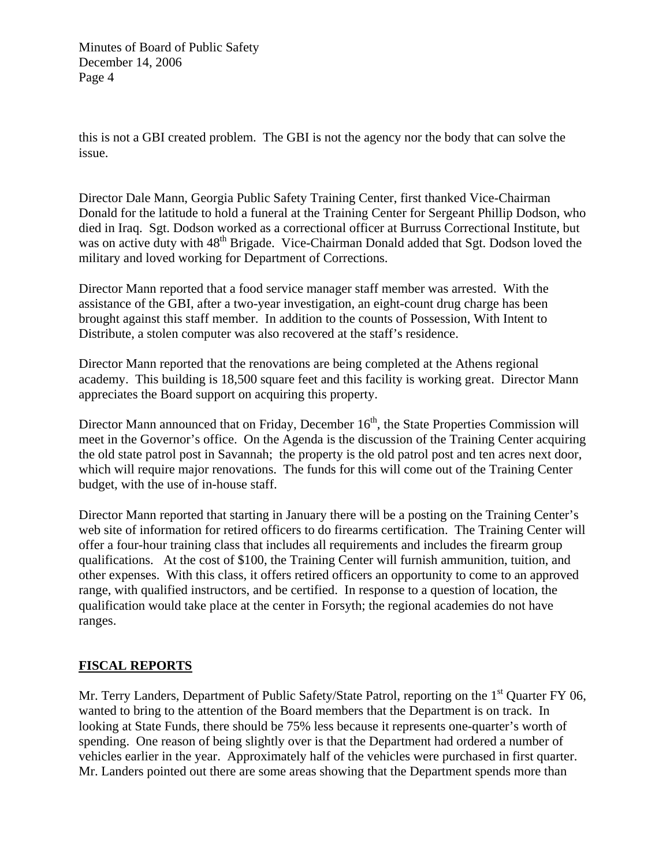this is not a GBI created problem. The GBI is not the agency nor the body that can solve the issue.

Director Dale Mann, Georgia Public Safety Training Center, first thanked Vice-Chairman Donald for the latitude to hold a funeral at the Training Center for Sergeant Phillip Dodson, who died in Iraq. Sgt. Dodson worked as a correctional officer at Burruss Correctional Institute, but was on active duty with 48<sup>th</sup> Brigade. Vice-Chairman Donald added that Sgt. Dodson loved the military and loved working for Department of Corrections.

Director Mann reported that a food service manager staff member was arrested. With the assistance of the GBI, after a two-year investigation, an eight-count drug charge has been brought against this staff member. In addition to the counts of Possession, With Intent to Distribute, a stolen computer was also recovered at the staff's residence.

Director Mann reported that the renovations are being completed at the Athens regional academy. This building is 18,500 square feet and this facility is working great. Director Mann appreciates the Board support on acquiring this property.

Director Mann announced that on Friday, December 16<sup>th</sup>, the State Properties Commission will meet in the Governor's office. On the Agenda is the discussion of the Training Center acquiring the old state patrol post in Savannah; the property is the old patrol post and ten acres next door, which will require major renovations. The funds for this will come out of the Training Center budget, with the use of in-house staff.

Director Mann reported that starting in January there will be a posting on the Training Center's web site of information for retired officers to do firearms certification. The Training Center will offer a four-hour training class that includes all requirements and includes the firearm group qualifications. At the cost of \$100, the Training Center will furnish ammunition, tuition, and other expenses. With this class, it offers retired officers an opportunity to come to an approved range, with qualified instructors, and be certified. In response to a question of location, the qualification would take place at the center in Forsyth; the regional academies do not have ranges.

# **FISCAL REPORTS**

Mr. Terry Landers, Department of Public Safety/State Patrol, reporting on the 1<sup>st</sup> Quarter FY 06, wanted to bring to the attention of the Board members that the Department is on track. In looking at State Funds, there should be 75% less because it represents one-quarter's worth of spending. One reason of being slightly over is that the Department had ordered a number of vehicles earlier in the year. Approximately half of the vehicles were purchased in first quarter. Mr. Landers pointed out there are some areas showing that the Department spends more than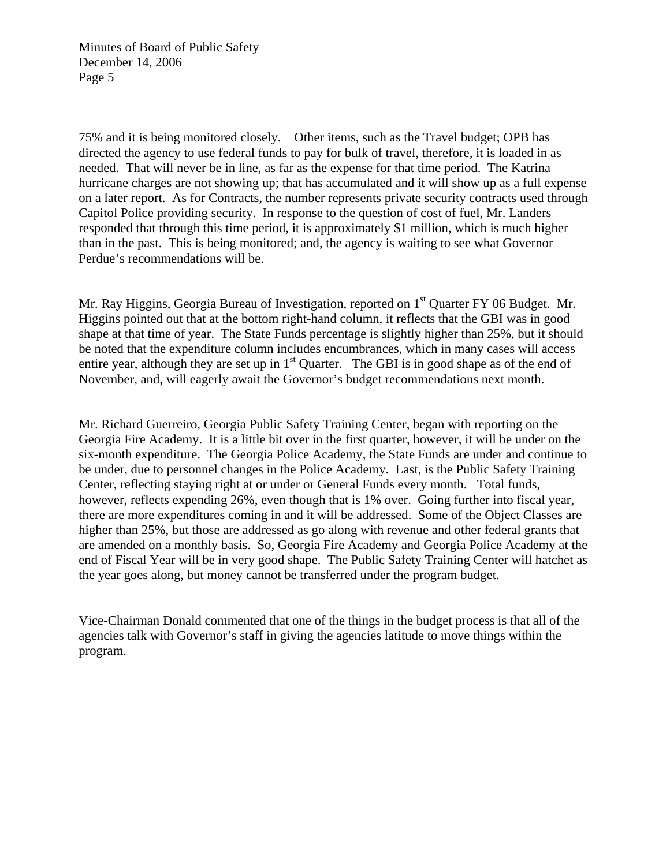75% and it is being monitored closely. Other items, such as the Travel budget; OPB has directed the agency to use federal funds to pay for bulk of travel, therefore, it is loaded in as needed. That will never be in line, as far as the expense for that time period. The Katrina hurricane charges are not showing up; that has accumulated and it will show up as a full expense on a later report. As for Contracts, the number represents private security contracts used through Capitol Police providing security. In response to the question of cost of fuel, Mr. Landers responded that through this time period, it is approximately \$1 million, which is much higher than in the past. This is being monitored; and, the agency is waiting to see what Governor Perdue's recommendations will be.

Mr. Ray Higgins, Georgia Bureau of Investigation, reported on 1<sup>st</sup> Quarter FY 06 Budget. Mr. Higgins pointed out that at the bottom right-hand column, it reflects that the GBI was in good shape at that time of year. The State Funds percentage is slightly higher than 25%, but it should be noted that the expenditure column includes encumbrances, which in many cases will access entire year, although they are set up in  $1<sup>st</sup>$  Quarter. The GBI is in good shape as of the end of November, and, will eagerly await the Governor's budget recommendations next month.

Mr. Richard Guerreiro, Georgia Public Safety Training Center, began with reporting on the Georgia Fire Academy. It is a little bit over in the first quarter, however, it will be under on the six-month expenditure. The Georgia Police Academy, the State Funds are under and continue to be under, due to personnel changes in the Police Academy. Last, is the Public Safety Training Center, reflecting staying right at or under or General Funds every month. Total funds, however, reflects expending 26%, even though that is 1% over. Going further into fiscal year, there are more expenditures coming in and it will be addressed. Some of the Object Classes are higher than 25%, but those are addressed as go along with revenue and other federal grants that are amended on a monthly basis. So, Georgia Fire Academy and Georgia Police Academy at the end of Fiscal Year will be in very good shape. The Public Safety Training Center will hatchet as the year goes along, but money cannot be transferred under the program budget.

Vice-Chairman Donald commented that one of the things in the budget process is that all of the agencies talk with Governor's staff in giving the agencies latitude to move things within the program.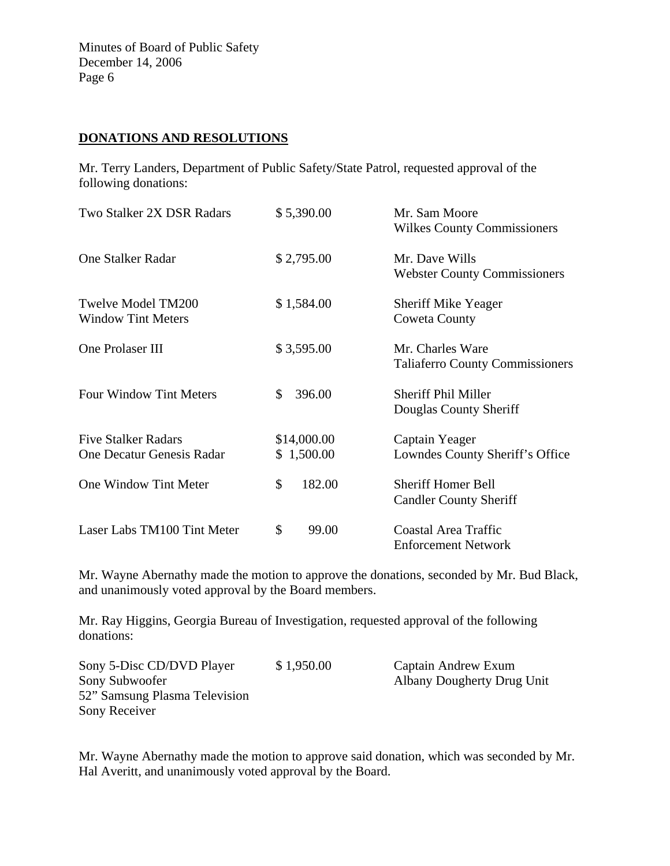## **DONATIONS AND RESOLUTIONS**

Mr. Terry Landers, Department of Public Safety/State Patrol, requested approval of the following donations:

| Two Stalker 2X DSR Radars                               | \$5,390.00                | Mr. Sam Moore<br><b>Wilkes County Commissioners</b>        |
|---------------------------------------------------------|---------------------------|------------------------------------------------------------|
| <b>One Stalker Radar</b>                                | \$2,795.00                | Mr. Dave Wills<br><b>Webster County Commissioners</b>      |
| <b>Twelve Model TM200</b><br><b>Window Tint Meters</b>  | \$1,584.00                | <b>Sheriff Mike Yeager</b><br><b>Coweta County</b>         |
| One Prolaser III                                        | \$3,595.00                | Mr. Charles Ware<br><b>Taliaferro County Commissioners</b> |
| <b>Four Window Tint Meters</b>                          | \$<br>396.00              | <b>Sheriff Phil Miller</b><br>Douglas County Sheriff       |
| <b>Five Stalker Radars</b><br>One Decatur Genesis Radar | \$14,000.00<br>\$1,500.00 | Captain Yeager<br>Lowndes County Sheriff's Office          |
| One Window Tint Meter                                   | \$<br>182.00              | <b>Sheriff Homer Bell</b><br><b>Candler County Sheriff</b> |
| Laser Labs TM100 Tint Meter                             | \$<br>99.00               | <b>Coastal Area Traffic</b><br><b>Enforcement Network</b>  |

Mr. Wayne Abernathy made the motion to approve the donations, seconded by Mr. Bud Black, and unanimously voted approval by the Board members.

Mr. Ray Higgins, Georgia Bureau of Investigation, requested approval of the following donations:

| Sony 5-Disc CD/DVD Player     | \$1,950.00 | Captain Andrew Exum        |
|-------------------------------|------------|----------------------------|
| Sony Subwoofer                |            | Albany Dougherty Drug Unit |
| 52" Samsung Plasma Television |            |                            |
| Sony Receiver                 |            |                            |

Mr. Wayne Abernathy made the motion to approve said donation, which was seconded by Mr. Hal Averitt, and unanimously voted approval by the Board.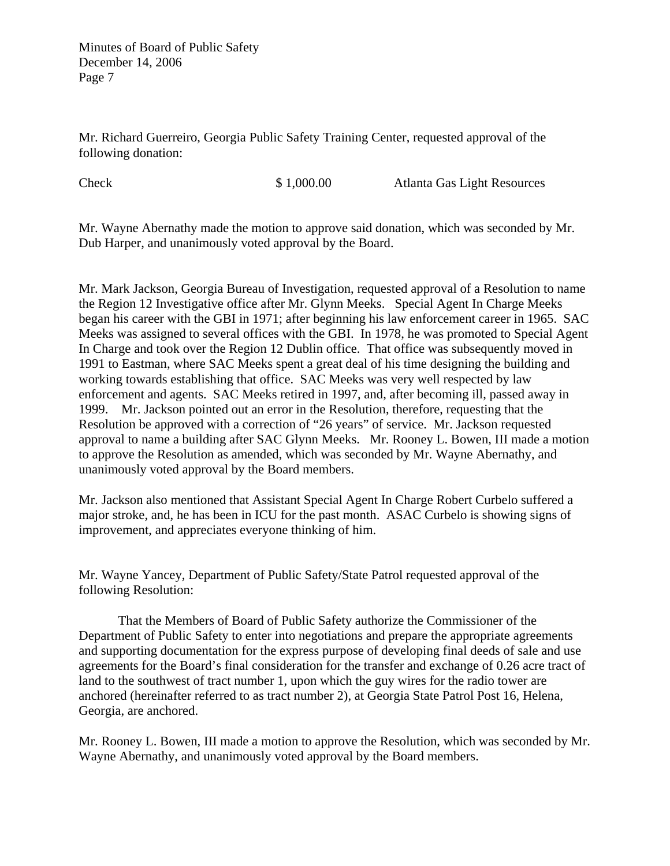Mr. Richard Guerreiro, Georgia Public Safety Training Center, requested approval of the following donation:

Check \$ 1,000.00 Atlanta Gas Light Resources

Mr. Wayne Abernathy made the motion to approve said donation, which was seconded by Mr. Dub Harper, and unanimously voted approval by the Board.

Mr. Mark Jackson, Georgia Bureau of Investigation, requested approval of a Resolution to name the Region 12 Investigative office after Mr. Glynn Meeks. Special Agent In Charge Meeks began his career with the GBI in 1971; after beginning his law enforcement career in 1965. SAC Meeks was assigned to several offices with the GBI. In 1978, he was promoted to Special Agent In Charge and took over the Region 12 Dublin office. That office was subsequently moved in 1991 to Eastman, where SAC Meeks spent a great deal of his time designing the building and working towards establishing that office. SAC Meeks was very well respected by law enforcement and agents. SAC Meeks retired in 1997, and, after becoming ill, passed away in 1999. Mr. Jackson pointed out an error in the Resolution, therefore, requesting that the Resolution be approved with a correction of "26 years" of service. Mr. Jackson requested approval to name a building after SAC Glynn Meeks. Mr. Rooney L. Bowen, III made a motion to approve the Resolution as amended, which was seconded by Mr. Wayne Abernathy, and unanimously voted approval by the Board members.

Mr. Jackson also mentioned that Assistant Special Agent In Charge Robert Curbelo suffered a major stroke, and, he has been in ICU for the past month. ASAC Curbelo is showing signs of improvement, and appreciates everyone thinking of him.

Mr. Wayne Yancey, Department of Public Safety/State Patrol requested approval of the following Resolution:

 That the Members of Board of Public Safety authorize the Commissioner of the Department of Public Safety to enter into negotiations and prepare the appropriate agreements and supporting documentation for the express purpose of developing final deeds of sale and use agreements for the Board's final consideration for the transfer and exchange of 0.26 acre tract of land to the southwest of tract number 1, upon which the guy wires for the radio tower are anchored (hereinafter referred to as tract number 2), at Georgia State Patrol Post 16, Helena, Georgia, are anchored.

Mr. Rooney L. Bowen, III made a motion to approve the Resolution, which was seconded by Mr. Wayne Abernathy, and unanimously voted approval by the Board members.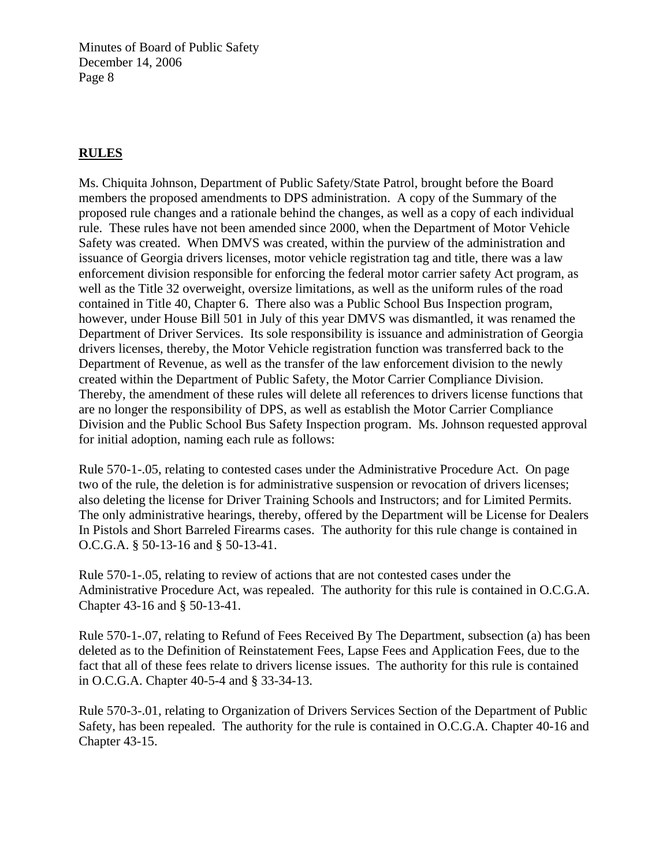# **RULES**

Ms. Chiquita Johnson, Department of Public Safety/State Patrol, brought before the Board members the proposed amendments to DPS administration. A copy of the Summary of the proposed rule changes and a rationale behind the changes, as well as a copy of each individual rule. These rules have not been amended since 2000, when the Department of Motor Vehicle Safety was created. When DMVS was created, within the purview of the administration and issuance of Georgia drivers licenses, motor vehicle registration tag and title, there was a law enforcement division responsible for enforcing the federal motor carrier safety Act program, as well as the Title 32 overweight, oversize limitations, as well as the uniform rules of the road contained in Title 40, Chapter 6. There also was a Public School Bus Inspection program, however, under House Bill 501 in July of this year DMVS was dismantled, it was renamed the Department of Driver Services. Its sole responsibility is issuance and administration of Georgia drivers licenses, thereby, the Motor Vehicle registration function was transferred back to the Department of Revenue, as well as the transfer of the law enforcement division to the newly created within the Department of Public Safety, the Motor Carrier Compliance Division. Thereby, the amendment of these rules will delete all references to drivers license functions that are no longer the responsibility of DPS, as well as establish the Motor Carrier Compliance Division and the Public School Bus Safety Inspection program. Ms. Johnson requested approval for initial adoption, naming each rule as follows:

Rule 570-1-.05, relating to contested cases under the Administrative Procedure Act. On page two of the rule, the deletion is for administrative suspension or revocation of drivers licenses; also deleting the license for Driver Training Schools and Instructors; and for Limited Permits. The only administrative hearings, thereby, offered by the Department will be License for Dealers In Pistols and Short Barreled Firearms cases. The authority for this rule change is contained in O.C.G.A. § 50-13-16 and § 50-13-41.

Rule 570-1-.05, relating to review of actions that are not contested cases under the Administrative Procedure Act, was repealed. The authority for this rule is contained in O.C.G.A. Chapter 43-16 and § 50-13-41.

Rule 570-1-.07, relating to Refund of Fees Received By The Department, subsection (a) has been deleted as to the Definition of Reinstatement Fees, Lapse Fees and Application Fees, due to the fact that all of these fees relate to drivers license issues. The authority for this rule is contained in O.C.G.A. Chapter 40-5-4 and § 33-34-13.

Rule 570-3-.01, relating to Organization of Drivers Services Section of the Department of Public Safety, has been repealed. The authority for the rule is contained in O.C.G.A. Chapter 40-16 and Chapter 43-15.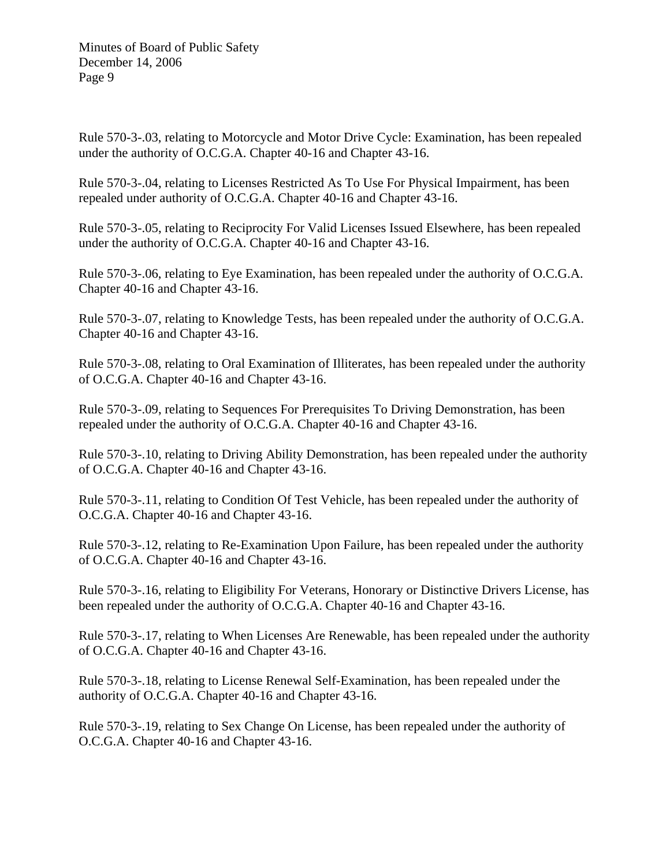Rule 570-3-.03, relating to Motorcycle and Motor Drive Cycle: Examination, has been repealed under the authority of O.C.G.A. Chapter 40-16 and Chapter 43-16.

Rule 570-3-.04, relating to Licenses Restricted As To Use For Physical Impairment, has been repealed under authority of O.C.G.A. Chapter 40-16 and Chapter 43-16.

Rule 570-3-.05, relating to Reciprocity For Valid Licenses Issued Elsewhere, has been repealed under the authority of O.C.G.A. Chapter 40-16 and Chapter 43-16.

Rule 570-3-.06, relating to Eye Examination, has been repealed under the authority of O.C.G.A. Chapter 40-16 and Chapter 43-16.

Rule 570-3-.07, relating to Knowledge Tests, has been repealed under the authority of O.C.G.A. Chapter 40-16 and Chapter 43-16.

Rule 570-3-.08, relating to Oral Examination of Illiterates, has been repealed under the authority of O.C.G.A. Chapter 40-16 and Chapter 43-16.

Rule 570-3-.09, relating to Sequences For Prerequisites To Driving Demonstration, has been repealed under the authority of O.C.G.A. Chapter 40-16 and Chapter 43-16.

Rule 570-3-.10, relating to Driving Ability Demonstration, has been repealed under the authority of O.C.G.A. Chapter 40-16 and Chapter 43-16.

Rule 570-3-.11, relating to Condition Of Test Vehicle, has been repealed under the authority of O.C.G.A. Chapter 40-16 and Chapter 43-16.

Rule 570-3-.12, relating to Re-Examination Upon Failure, has been repealed under the authority of O.C.G.A. Chapter 40-16 and Chapter 43-16.

Rule 570-3-.16, relating to Eligibility For Veterans, Honorary or Distinctive Drivers License, has been repealed under the authority of O.C.G.A. Chapter 40-16 and Chapter 43-16.

Rule 570-3-.17, relating to When Licenses Are Renewable, has been repealed under the authority of O.C.G.A. Chapter 40-16 and Chapter 43-16.

Rule 570-3-.18, relating to License Renewal Self-Examination, has been repealed under the authority of O.C.G.A. Chapter 40-16 and Chapter 43-16.

Rule 570-3-.19, relating to Sex Change On License, has been repealed under the authority of O.C.G.A. Chapter 40-16 and Chapter 43-16.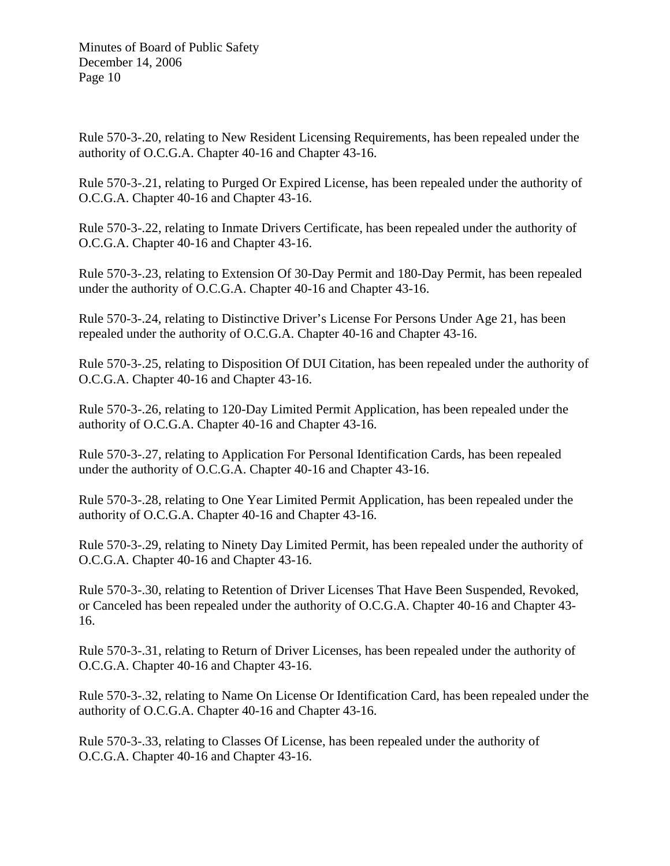Rule 570-3-.20, relating to New Resident Licensing Requirements, has been repealed under the authority of O.C.G.A. Chapter 40-16 and Chapter 43-16.

Rule 570-3-.21, relating to Purged Or Expired License, has been repealed under the authority of O.C.G.A. Chapter 40-16 and Chapter 43-16.

Rule 570-3-.22, relating to Inmate Drivers Certificate, has been repealed under the authority of O.C.G.A. Chapter 40-16 and Chapter 43-16.

Rule 570-3-.23, relating to Extension Of 30-Day Permit and 180-Day Permit, has been repealed under the authority of O.C.G.A. Chapter 40-16 and Chapter 43-16.

Rule 570-3-.24, relating to Distinctive Driver's License For Persons Under Age 21, has been repealed under the authority of O.C.G.A. Chapter 40-16 and Chapter 43-16.

Rule 570-3-.25, relating to Disposition Of DUI Citation, has been repealed under the authority of O.C.G.A. Chapter 40-16 and Chapter 43-16.

Rule 570-3-.26, relating to 120-Day Limited Permit Application, has been repealed under the authority of O.C.G.A. Chapter 40-16 and Chapter 43-16.

Rule 570-3-.27, relating to Application For Personal Identification Cards, has been repealed under the authority of O.C.G.A. Chapter 40-16 and Chapter 43-16.

Rule 570-3-.28, relating to One Year Limited Permit Application, has been repealed under the authority of O.C.G.A. Chapter 40-16 and Chapter 43-16.

Rule 570-3-.29, relating to Ninety Day Limited Permit, has been repealed under the authority of O.C.G.A. Chapter 40-16 and Chapter 43-16.

Rule 570-3-.30, relating to Retention of Driver Licenses That Have Been Suspended, Revoked, or Canceled has been repealed under the authority of O.C.G.A. Chapter 40-16 and Chapter 43- 16.

Rule 570-3-.31, relating to Return of Driver Licenses, has been repealed under the authority of O.C.G.A. Chapter 40-16 and Chapter 43-16.

Rule 570-3-.32, relating to Name On License Or Identification Card, has been repealed under the authority of O.C.G.A. Chapter 40-16 and Chapter 43-16.

Rule 570-3-.33, relating to Classes Of License, has been repealed under the authority of O.C.G.A. Chapter 40-16 and Chapter 43-16.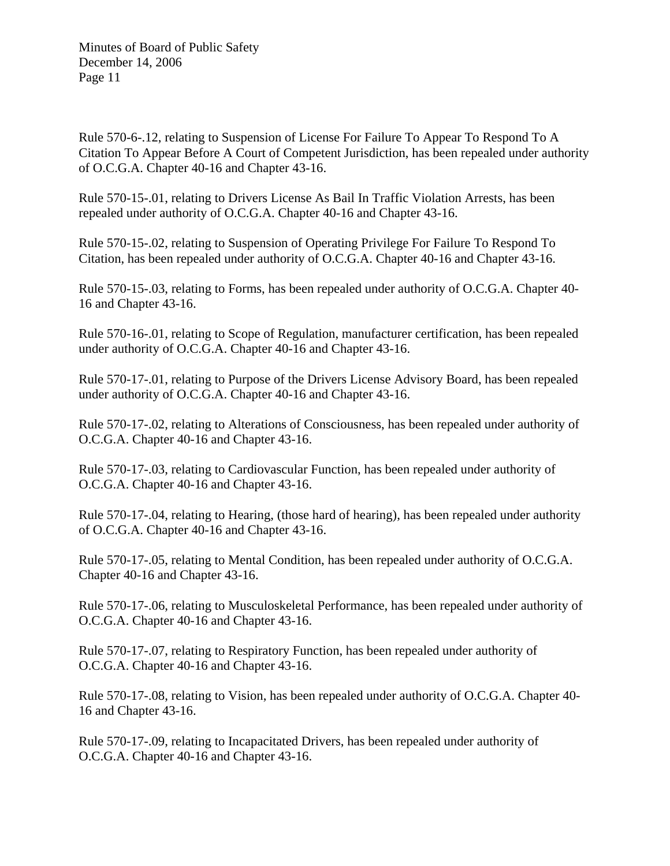Rule 570-6-.12, relating to Suspension of License For Failure To Appear To Respond To A Citation To Appear Before A Court of Competent Jurisdiction, has been repealed under authority of O.C.G.A. Chapter 40-16 and Chapter 43-16.

Rule 570-15-.01, relating to Drivers License As Bail In Traffic Violation Arrests, has been repealed under authority of O.C.G.A. Chapter 40-16 and Chapter 43-16.

Rule 570-15-.02, relating to Suspension of Operating Privilege For Failure To Respond To Citation, has been repealed under authority of O.C.G.A. Chapter 40-16 and Chapter 43-16.

Rule 570-15-.03, relating to Forms, has been repealed under authority of O.C.G.A. Chapter 40- 16 and Chapter 43-16.

Rule 570-16-.01, relating to Scope of Regulation, manufacturer certification, has been repealed under authority of O.C.G.A. Chapter 40-16 and Chapter 43-16.

Rule 570-17-.01, relating to Purpose of the Drivers License Advisory Board, has been repealed under authority of O.C.G.A. Chapter 40-16 and Chapter 43-16.

Rule 570-17-.02, relating to Alterations of Consciousness, has been repealed under authority of O.C.G.A. Chapter 40-16 and Chapter 43-16.

Rule 570-17-.03, relating to Cardiovascular Function, has been repealed under authority of O.C.G.A. Chapter 40-16 and Chapter 43-16.

Rule 570-17-.04, relating to Hearing, (those hard of hearing), has been repealed under authority of O.C.G.A. Chapter 40-16 and Chapter 43-16.

Rule 570-17-.05, relating to Mental Condition, has been repealed under authority of O.C.G.A. Chapter 40-16 and Chapter 43-16.

Rule 570-17-.06, relating to Musculoskeletal Performance, has been repealed under authority of O.C.G.A. Chapter 40-16 and Chapter 43-16.

Rule 570-17-.07, relating to Respiratory Function, has been repealed under authority of O.C.G.A. Chapter 40-16 and Chapter 43-16.

Rule 570-17-.08, relating to Vision, has been repealed under authority of O.C.G.A. Chapter 40- 16 and Chapter 43-16.

Rule 570-17-.09, relating to Incapacitated Drivers, has been repealed under authority of O.C.G.A. Chapter 40-16 and Chapter 43-16.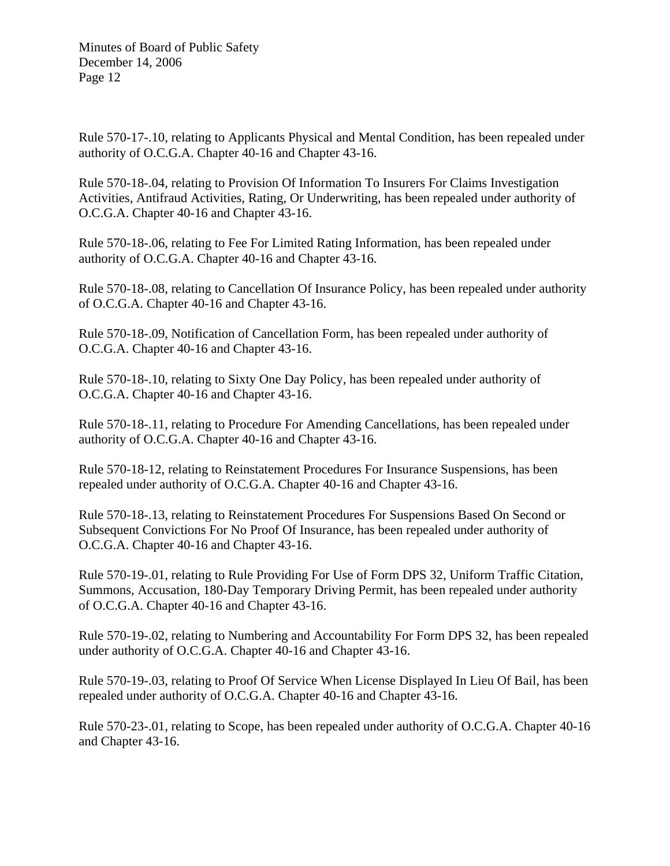Rule 570-17-.10, relating to Applicants Physical and Mental Condition, has been repealed under authority of O.C.G.A. Chapter 40-16 and Chapter 43-16.

Rule 570-18-.04, relating to Provision Of Information To Insurers For Claims Investigation Activities, Antifraud Activities, Rating, Or Underwriting, has been repealed under authority of O.C.G.A. Chapter 40-16 and Chapter 43-16.

Rule 570-18-.06, relating to Fee For Limited Rating Information, has been repealed under authority of O.C.G.A. Chapter 40-16 and Chapter 43-16.

Rule 570-18-.08, relating to Cancellation Of Insurance Policy, has been repealed under authority of O.C.G.A. Chapter 40-16 and Chapter 43-16.

Rule 570-18-.09, Notification of Cancellation Form, has been repealed under authority of O.C.G.A. Chapter 40-16 and Chapter 43-16.

Rule 570-18-.10, relating to Sixty One Day Policy, has been repealed under authority of O.C.G.A. Chapter 40-16 and Chapter 43-16.

Rule 570-18-.11, relating to Procedure For Amending Cancellations, has been repealed under authority of O.C.G.A. Chapter 40-16 and Chapter 43-16.

Rule 570-18-12, relating to Reinstatement Procedures For Insurance Suspensions, has been repealed under authority of O.C.G.A. Chapter 40-16 and Chapter 43-16.

Rule 570-18-.13, relating to Reinstatement Procedures For Suspensions Based On Second or Subsequent Convictions For No Proof Of Insurance, has been repealed under authority of O.C.G.A. Chapter 40-16 and Chapter 43-16.

Rule 570-19-.01, relating to Rule Providing For Use of Form DPS 32, Uniform Traffic Citation, Summons, Accusation, 180-Day Temporary Driving Permit, has been repealed under authority of O.C.G.A. Chapter 40-16 and Chapter 43-16.

Rule 570-19-.02, relating to Numbering and Accountability For Form DPS 32, has been repealed under authority of O.C.G.A. Chapter 40-16 and Chapter 43-16.

Rule 570-19-.03, relating to Proof Of Service When License Displayed In Lieu Of Bail, has been repealed under authority of O.C.G.A. Chapter 40-16 and Chapter 43-16.

Rule 570-23-.01, relating to Scope, has been repealed under authority of O.C.G.A. Chapter 40-16 and Chapter 43-16.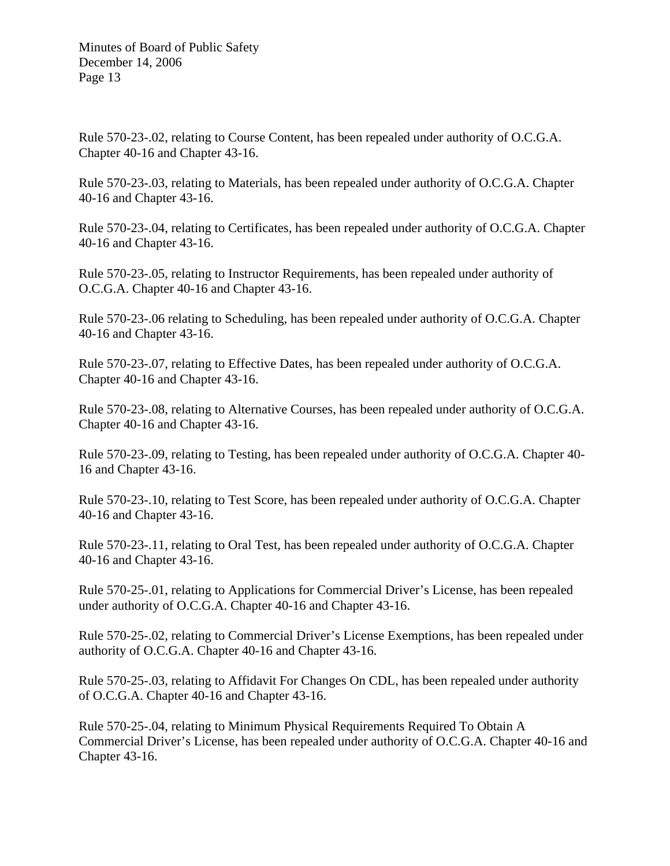Rule 570-23-.02, relating to Course Content, has been repealed under authority of O.C.G.A. Chapter 40-16 and Chapter 43-16.

Rule 570-23-.03, relating to Materials, has been repealed under authority of O.C.G.A. Chapter 40-16 and Chapter 43-16.

Rule 570-23-.04, relating to Certificates, has been repealed under authority of O.C.G.A. Chapter 40-16 and Chapter 43-16.

Rule 570-23-.05, relating to Instructor Requirements, has been repealed under authority of O.C.G.A. Chapter 40-16 and Chapter 43-16.

Rule 570-23-.06 relating to Scheduling, has been repealed under authority of O.C.G.A. Chapter 40-16 and Chapter 43-16.

Rule 570-23-.07, relating to Effective Dates, has been repealed under authority of O.C.G.A. Chapter 40-16 and Chapter 43-16.

Rule 570-23-.08, relating to Alternative Courses, has been repealed under authority of O.C.G.A. Chapter 40-16 and Chapter 43-16.

Rule 570-23-.09, relating to Testing, has been repealed under authority of O.C.G.A. Chapter 40- 16 and Chapter 43-16.

Rule 570-23-.10, relating to Test Score, has been repealed under authority of O.C.G.A. Chapter 40-16 and Chapter 43-16.

Rule 570-23-.11, relating to Oral Test, has been repealed under authority of O.C.G.A. Chapter 40-16 and Chapter 43-16.

Rule 570-25-.01, relating to Applications for Commercial Driver's License, has been repealed under authority of O.C.G.A. Chapter 40-16 and Chapter 43-16.

Rule 570-25-.02, relating to Commercial Driver's License Exemptions, has been repealed under authority of O.C.G.A. Chapter 40-16 and Chapter 43-16.

Rule 570-25-.03, relating to Affidavit For Changes On CDL, has been repealed under authority of O.C.G.A. Chapter 40-16 and Chapter 43-16.

Rule 570-25-.04, relating to Minimum Physical Requirements Required To Obtain A Commercial Driver's License, has been repealed under authority of O.C.G.A. Chapter 40-16 and Chapter 43-16.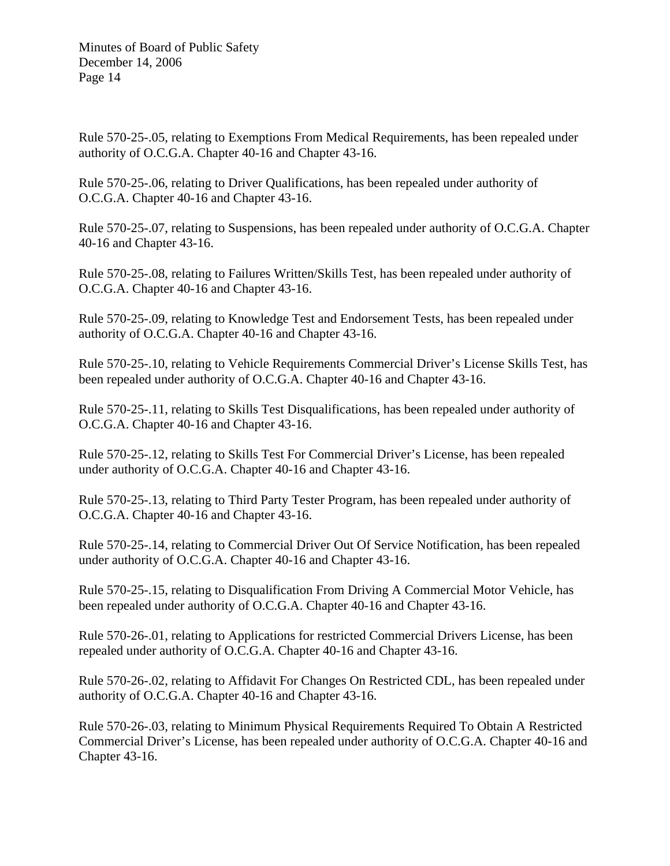Rule 570-25-.05, relating to Exemptions From Medical Requirements, has been repealed under authority of O.C.G.A. Chapter 40-16 and Chapter 43-16.

Rule 570-25-.06, relating to Driver Qualifications, has been repealed under authority of O.C.G.A. Chapter 40-16 and Chapter 43-16.

Rule 570-25-.07, relating to Suspensions, has been repealed under authority of O.C.G.A. Chapter 40-16 and Chapter 43-16.

Rule 570-25-.08, relating to Failures Written/Skills Test, has been repealed under authority of O.C.G.A. Chapter 40-16 and Chapter 43-16.

Rule 570-25-.09, relating to Knowledge Test and Endorsement Tests, has been repealed under authority of O.C.G.A. Chapter 40-16 and Chapter 43-16.

Rule 570-25-.10, relating to Vehicle Requirements Commercial Driver's License Skills Test, has been repealed under authority of O.C.G.A. Chapter 40-16 and Chapter 43-16.

Rule 570-25-.11, relating to Skills Test Disqualifications, has been repealed under authority of O.C.G.A. Chapter 40-16 and Chapter 43-16.

Rule 570-25-.12, relating to Skills Test For Commercial Driver's License, has been repealed under authority of O.C.G.A. Chapter 40-16 and Chapter 43-16.

Rule 570-25-.13, relating to Third Party Tester Program, has been repealed under authority of O.C.G.A. Chapter 40-16 and Chapter 43-16.

Rule 570-25-.14, relating to Commercial Driver Out Of Service Notification, has been repealed under authority of O.C.G.A. Chapter 40-16 and Chapter 43-16.

Rule 570-25-.15, relating to Disqualification From Driving A Commercial Motor Vehicle, has been repealed under authority of O.C.G.A. Chapter 40-16 and Chapter 43-16.

Rule 570-26-.01, relating to Applications for restricted Commercial Drivers License, has been repealed under authority of O.C.G.A. Chapter 40-16 and Chapter 43-16.

Rule 570-26-.02, relating to Affidavit For Changes On Restricted CDL, has been repealed under authority of O.C.G.A. Chapter 40-16 and Chapter 43-16.

Rule 570-26-.03, relating to Minimum Physical Requirements Required To Obtain A Restricted Commercial Driver's License, has been repealed under authority of O.C.G.A. Chapter 40-16 and Chapter 43-16.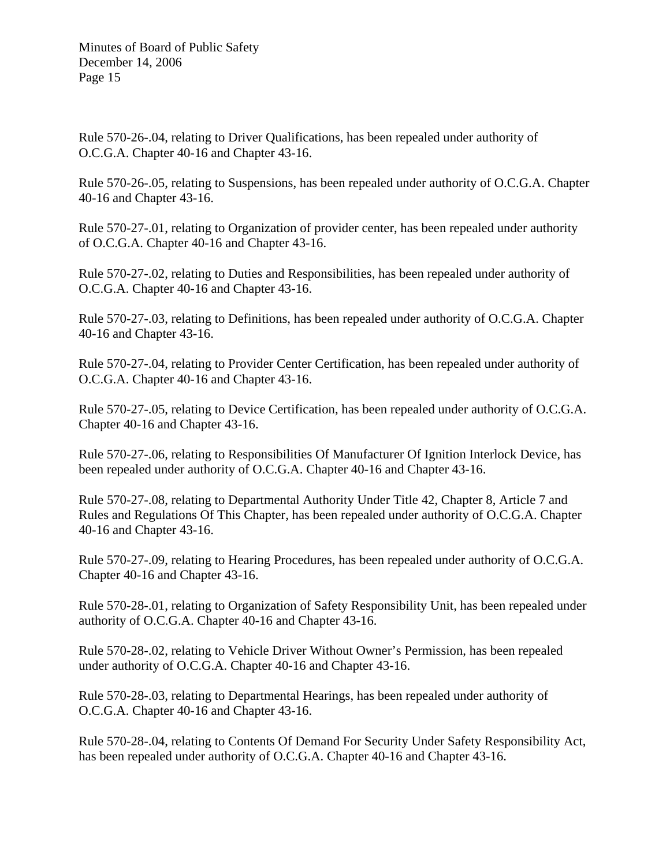Rule 570-26-.04, relating to Driver Qualifications, has been repealed under authority of O.C.G.A. Chapter 40-16 and Chapter 43-16.

Rule 570-26-.05, relating to Suspensions, has been repealed under authority of O.C.G.A. Chapter 40-16 and Chapter 43-16.

Rule 570-27-.01, relating to Organization of provider center, has been repealed under authority of O.C.G.A. Chapter 40-16 and Chapter 43-16.

Rule 570-27-.02, relating to Duties and Responsibilities, has been repealed under authority of O.C.G.A. Chapter 40-16 and Chapter 43-16.

Rule 570-27-.03, relating to Definitions, has been repealed under authority of O.C.G.A. Chapter 40-16 and Chapter 43-16.

Rule 570-27-.04, relating to Provider Center Certification, has been repealed under authority of O.C.G.A. Chapter 40-16 and Chapter 43-16.

Rule 570-27-.05, relating to Device Certification, has been repealed under authority of O.C.G.A. Chapter 40-16 and Chapter 43-16.

Rule 570-27-.06, relating to Responsibilities Of Manufacturer Of Ignition Interlock Device, has been repealed under authority of O.C.G.A. Chapter 40-16 and Chapter 43-16.

Rule 570-27-.08, relating to Departmental Authority Under Title 42, Chapter 8, Article 7 and Rules and Regulations Of This Chapter, has been repealed under authority of O.C.G.A. Chapter 40-16 and Chapter 43-16.

Rule 570-27-.09, relating to Hearing Procedures, has been repealed under authority of O.C.G.A. Chapter 40-16 and Chapter 43-16.

Rule 570-28-.01, relating to Organization of Safety Responsibility Unit, has been repealed under authority of O.C.G.A. Chapter 40-16 and Chapter 43-16.

Rule 570-28-.02, relating to Vehicle Driver Without Owner's Permission, has been repealed under authority of O.C.G.A. Chapter 40-16 and Chapter 43-16.

Rule 570-28-.03, relating to Departmental Hearings, has been repealed under authority of O.C.G.A. Chapter 40-16 and Chapter 43-16.

Rule 570-28-.04, relating to Contents Of Demand For Security Under Safety Responsibility Act, has been repealed under authority of O.C.G.A. Chapter 40-16 and Chapter 43-16.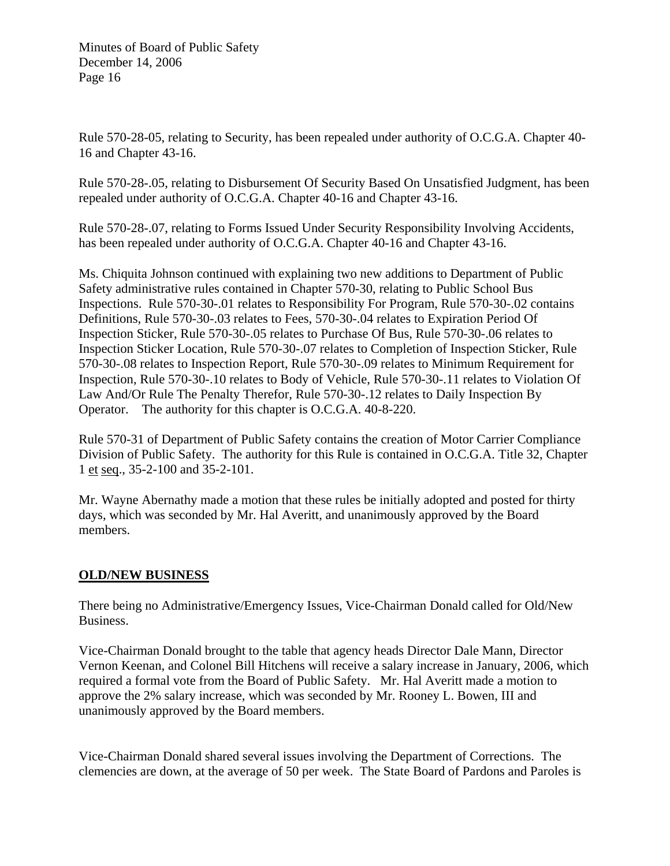Rule 570-28-05, relating to Security, has been repealed under authority of O.C.G.A. Chapter 40- 16 and Chapter 43-16.

Rule 570-28-.05, relating to Disbursement Of Security Based On Unsatisfied Judgment, has been repealed under authority of O.C.G.A. Chapter 40-16 and Chapter 43-16.

Rule 570-28-.07, relating to Forms Issued Under Security Responsibility Involving Accidents, has been repealed under authority of O.C.G.A. Chapter 40-16 and Chapter 43-16.

Ms. Chiquita Johnson continued with explaining two new additions to Department of Public Safety administrative rules contained in Chapter 570-30, relating to Public School Bus Inspections. Rule 570-30-.01 relates to Responsibility For Program, Rule 570-30-.02 contains Definitions, Rule 570-30-.03 relates to Fees, 570-30-.04 relates to Expiration Period Of Inspection Sticker, Rule 570-30-.05 relates to Purchase Of Bus, Rule 570-30-.06 relates to Inspection Sticker Location, Rule 570-30-.07 relates to Completion of Inspection Sticker, Rule 570-30-.08 relates to Inspection Report, Rule 570-30-.09 relates to Minimum Requirement for Inspection, Rule 570-30-.10 relates to Body of Vehicle, Rule 570-30-.11 relates to Violation Of Law And/Or Rule The Penalty Therefor, Rule 570-30-.12 relates to Daily Inspection By Operator. The authority for this chapter is O.C.G.A. 40-8-220.

Rule 570-31 of Department of Public Safety contains the creation of Motor Carrier Compliance Division of Public Safety. The authority for this Rule is contained in O.C.G.A. Title 32, Chapter 1 et seq., 35-2-100 and 35-2-101.

Mr. Wayne Abernathy made a motion that these rules be initially adopted and posted for thirty days, which was seconded by Mr. Hal Averitt, and unanimously approved by the Board members.

# **OLD/NEW BUSINESS**

There being no Administrative/Emergency Issues, Vice-Chairman Donald called for Old/New Business.

Vice-Chairman Donald brought to the table that agency heads Director Dale Mann, Director Vernon Keenan, and Colonel Bill Hitchens will receive a salary increase in January, 2006, which required a formal vote from the Board of Public Safety. Mr. Hal Averitt made a motion to approve the 2% salary increase, which was seconded by Mr. Rooney L. Bowen, III and unanimously approved by the Board members.

Vice-Chairman Donald shared several issues involving the Department of Corrections. The clemencies are down, at the average of 50 per week. The State Board of Pardons and Paroles is